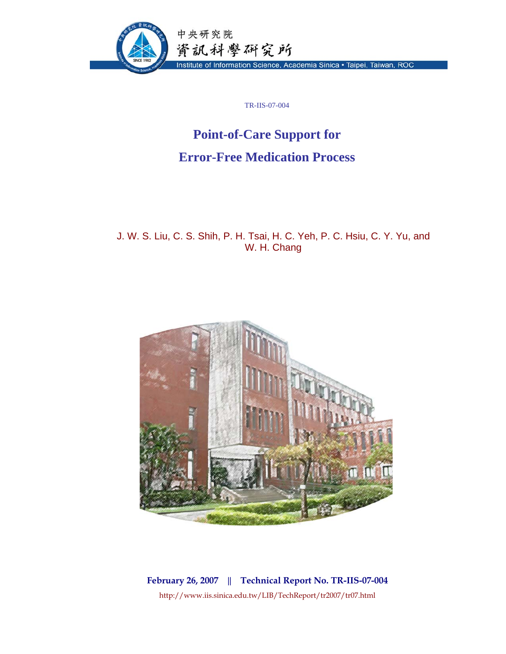

TR-IIS-07-004

## **Point-of-Care Support for Error-Free Medication Process**

J. W. S. Liu, C. S. Shih, P. H. Tsai, H. C. Yeh, P. C. Hsiu, C. Y. Yu, and W. H. Chang



**February 26, 2007 || Technical Report No. TR-IIS-07-004**  http://www.iis.sinica.edu.tw/LIB/TechReport/tr2007/tr07.html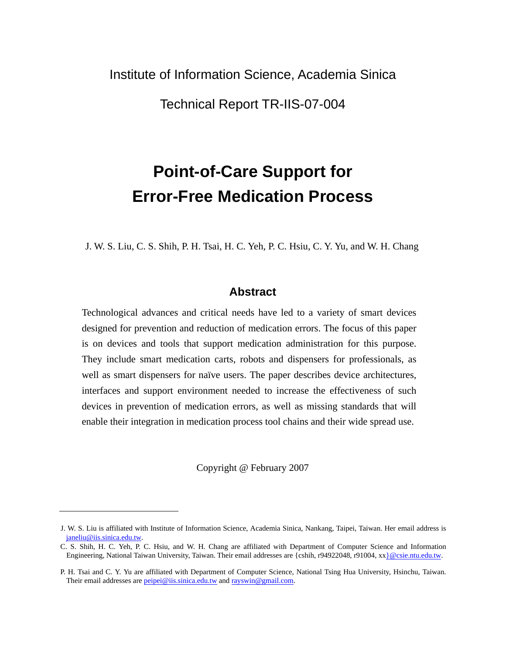Institute of Information Science, Academia Sinica

Technical Report TR-IIS-07-004

# **Point-of-Care Support for Error-Free Medication Process**

J. W. S. Liu, C. S. Shih, P. H. Tsai, H. C. Yeh, P. C. Hsiu, C. Y. Yu, and W. H. Chang

## **Abstract**

Technological advances and critical needs have led to a variety of smart devices designed for prevention and reduction of medication errors. The focus of this paper is on devices and tools that support medication administration for this purpose. They include smart medication carts, robots and dispensers for professionals, as well as smart dispensers for naïve users. The paper describes device architectures, interfaces and support environment needed to increase the effectiveness of such devices in prevention of medication errors, as well as missing standards that will enable their integration in medication process tool chains and their wide spread use.

Copyright @ February 2007

 $\overline{a}$ 

J. W. S. Liu is affiliated with Institute of Information Science, Academia Sinica, Nankang, Taipei, Taiwan. Her email address is janeliu@iis.sinica.edu.tw.

C. S. Shih, H. C. Yeh, P. C. Hsiu, and W. H. Chang are affiliated with Department of Computer Science and Information Engineering, National Taiwan University, Taiwan. Their email addresses are {cshih, r94922048, r91004, xx}@csie.ntu.edu.tw.

P. H. Tsai and C. Y. Yu are affiliated with Department of Computer Science, National Tsing Hua University, Hsinchu, Taiwan. Their email addresses are *peipei@iis.sinica.edu.tw* and rayswin@gmail.com.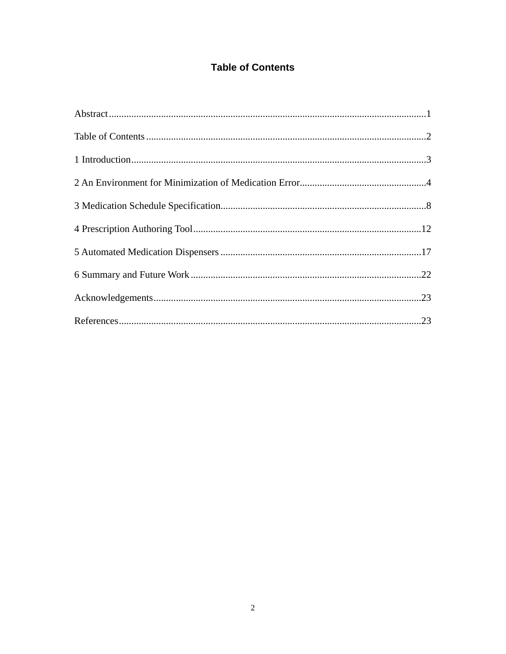## **Table of Contents**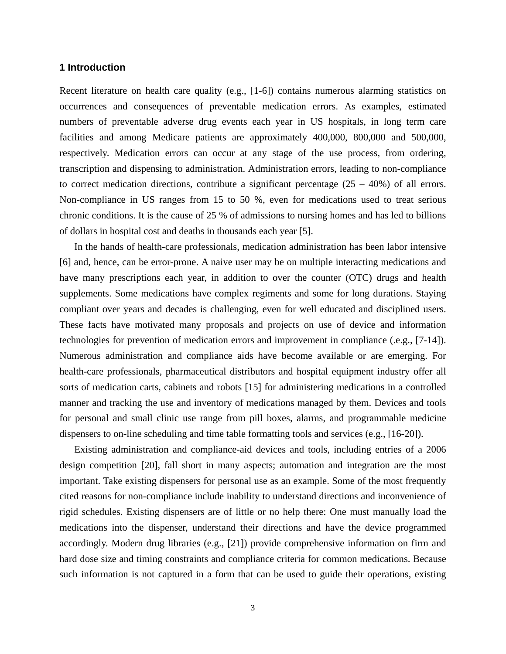## **1 Introduction**

Recent literature on health care quality (e.g., [1-6]) contains numerous alarming statistics on occurrences and consequences of preventable medication errors. As examples, estimated numbers of preventable adverse drug events each year in US hospitals, in long term care facilities and among Medicare patients are approximately 400,000, 800,000 and 500,000, respectively. Medication errors can occur at any stage of the use process, from ordering, transcription and dispensing to administration. Administration errors, leading to non-compliance to correct medication directions, contribute a significant percentage  $(25 - 40%)$  of all errors. Non-compliance in US ranges from 15 to 50 %, even for medications used to treat serious chronic conditions. It is the cause of 25 % of admissions to nursing homes and has led to billions of dollars in hospital cost and deaths in thousands each year [5].

In the hands of health-care professionals, medication administration has been labor intensive [6] and, hence, can be error-prone. A naive user may be on multiple interacting medications and have many prescriptions each year, in addition to over the counter (OTC) drugs and health supplements. Some medications have complex regiments and some for long durations. Staying compliant over years and decades is challenging, even for well educated and disciplined users. These facts have motivated many proposals and projects on use of device and information technologies for prevention of medication errors and improvement in compliance (.e.g., [7-14]). Numerous administration and compliance aids have become available or are emerging. For health-care professionals, pharmaceutical distributors and hospital equipment industry offer all sorts of medication carts, cabinets and robots [15] for administering medications in a controlled manner and tracking the use and inventory of medications managed by them. Devices and tools for personal and small clinic use range from pill boxes, alarms, and programmable medicine dispensers to on-line scheduling and time table formatting tools and services (e.g., [16-20]).

Existing administration and compliance-aid devices and tools, including entries of a 2006 design competition [20], fall short in many aspects; automation and integration are the most important. Take existing dispensers for personal use as an example. Some of the most frequently cited reasons for non-compliance include inability to understand directions and inconvenience of rigid schedules. Existing dispensers are of little or no help there: One must manually load the medications into the dispenser, understand their directions and have the device programmed accordingly. Modern drug libraries (e.g., [21]) provide comprehensive information on firm and hard dose size and timing constraints and compliance criteria for common medications. Because such information is not captured in a form that can be used to guide their operations, existing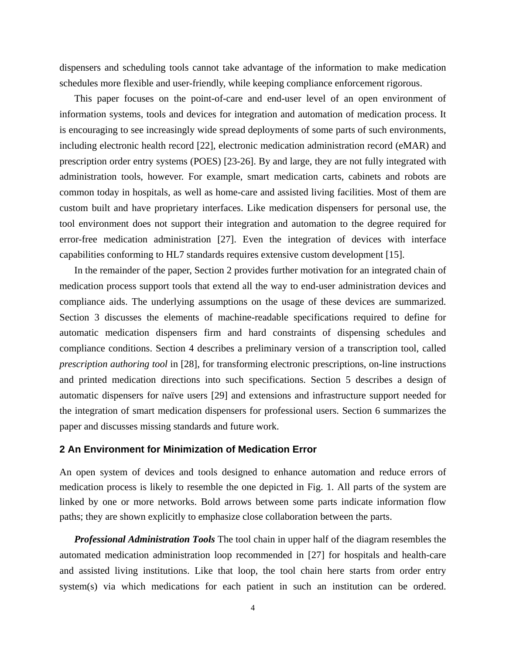dispensers and scheduling tools cannot take advantage of the information to make medication schedules more flexible and user-friendly, while keeping compliance enforcement rigorous.

This paper focuses on the point-of-care and end-user level of an open environment of information systems, tools and devices for integration and automation of medication process. It is encouraging to see increasingly wide spread deployments of some parts of such environments, including electronic health record [22], electronic medication administration record (eMAR) and prescription order entry systems (POES) [23-26]. By and large, they are not fully integrated with administration tools, however. For example, smart medication carts, cabinets and robots are common today in hospitals, as well as home-care and assisted living facilities. Most of them are custom built and have proprietary interfaces. Like medication dispensers for personal use, the tool environment does not support their integration and automation to the degree required for error-free medication administration [27]. Even the integration of devices with interface capabilities conforming to HL7 standards requires extensive custom development [15].

In the remainder of the paper, Section 2 provides further motivation for an integrated chain of medication process support tools that extend all the way to end-user administration devices and compliance aids. The underlying assumptions on the usage of these devices are summarized. Section 3 discusses the elements of machine-readable specifications required to define for automatic medication dispensers firm and hard constraints of dispensing schedules and compliance conditions. Section 4 describes a preliminary version of a transcription tool, called *prescription authoring tool* in [28], for transforming electronic prescriptions, on-line instructions and printed medication directions into such specifications. Section 5 describes a design of automatic dispensers for naïve users [29] and extensions and infrastructure support needed for the integration of smart medication dispensers for professional users. Section 6 summarizes the paper and discusses missing standards and future work.

### **2 An Environment for Minimization of Medication Error**

An open system of devices and tools designed to enhance automation and reduce errors of medication process is likely to resemble the one depicted in Fig. 1. All parts of the system are linked by one or more networks. Bold arrows between some parts indicate information flow paths; they are shown explicitly to emphasize close collaboration between the parts.

*Professional Administration Tools* The tool chain in upper half of the diagram resembles the automated medication administration loop recommended in [27] for hospitals and health-care and assisted living institutions. Like that loop, the tool chain here starts from order entry system(s) via which medications for each patient in such an institution can be ordered.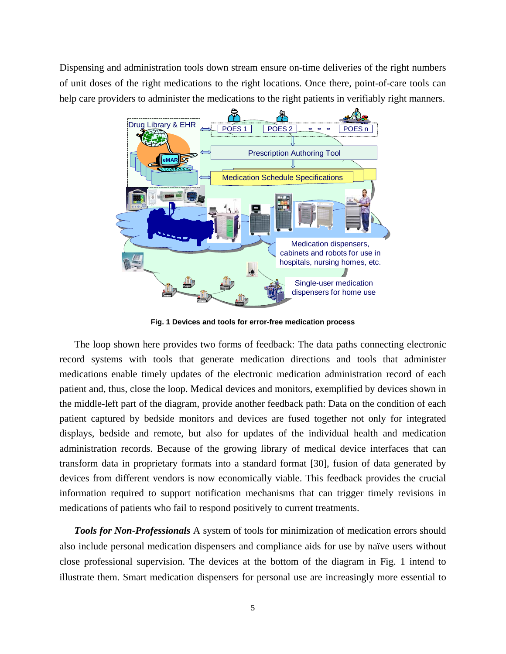Dispensing and administration tools down stream ensure on-time deliveries of the right numbers of unit doses of the right medications to the right locations. Once there, point-of-care tools can help care providers to administer the medications to the right patients in verifiably right manners.



**Fig. 1 Devices and tools for error-free medication process** 

The loop shown here provides two forms of feedback: The data paths connecting electronic record systems with tools that generate medication directions and tools that administer medications enable timely updates of the electronic medication administration record of each patient and, thus, close the loop. Medical devices and monitors, exemplified by devices shown in the middle-left part of the diagram, provide another feedback path: Data on the condition of each patient captured by bedside monitors and devices are fused together not only for integrated displays, bedside and remote, but also for updates of the individual health and medication administration records. Because of the growing library of medical device interfaces that can transform data in proprietary formats into a standard format [30], fusion of data generated by devices from different vendors is now economically viable. This feedback provides the crucial information required to support notification mechanisms that can trigger timely revisions in medications of patients who fail to respond positively to current treatments.

*Tools for Non-Professionals* A system of tools for minimization of medication errors should also include personal medication dispensers and compliance aids for use by naïve users without close professional supervision. The devices at the bottom of the diagram in Fig. 1 intend to illustrate them. Smart medication dispensers for personal use are increasingly more essential to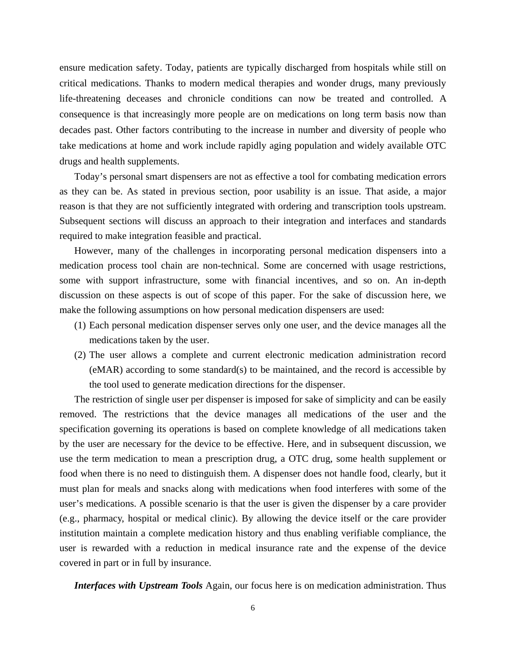ensure medication safety. Today, patients are typically discharged from hospitals while still on critical medications. Thanks to modern medical therapies and wonder drugs, many previously life-threatening deceases and chronicle conditions can now be treated and controlled. A consequence is that increasingly more people are on medications on long term basis now than decades past. Other factors contributing to the increase in number and diversity of people who take medications at home and work include rapidly aging population and widely available OTC drugs and health supplements.

Today's personal smart dispensers are not as effective a tool for combating medication errors as they can be. As stated in previous section, poor usability is an issue. That aside, a major reason is that they are not sufficiently integrated with ordering and transcription tools upstream. Subsequent sections will discuss an approach to their integration and interfaces and standards required to make integration feasible and practical.

However, many of the challenges in incorporating personal medication dispensers into a medication process tool chain are non-technical. Some are concerned with usage restrictions, some with support infrastructure, some with financial incentives, and so on. An in-depth discussion on these aspects is out of scope of this paper. For the sake of discussion here, we make the following assumptions on how personal medication dispensers are used:

- (1) Each personal medication dispenser serves only one user, and the device manages all the medications taken by the user.
- (2) The user allows a complete and current electronic medication administration record (eMAR) according to some standard(s) to be maintained, and the record is accessible by the tool used to generate medication directions for the dispenser.

The restriction of single user per dispenser is imposed for sake of simplicity and can be easily removed. The restrictions that the device manages all medications of the user and the specification governing its operations is based on complete knowledge of all medications taken by the user are necessary for the device to be effective. Here, and in subsequent discussion, we use the term medication to mean a prescription drug, a OTC drug, some health supplement or food when there is no need to distinguish them. A dispenser does not handle food, clearly, but it must plan for meals and snacks along with medications when food interferes with some of the user's medications. A possible scenario is that the user is given the dispenser by a care provider (e.g., pharmacy, hospital or medical clinic). By allowing the device itself or the care provider institution maintain a complete medication history and thus enabling verifiable compliance, the user is rewarded with a reduction in medical insurance rate and the expense of the device covered in part or in full by insurance.

*Interfaces with Upstream Tools* Again, our focus here is on medication administration. Thus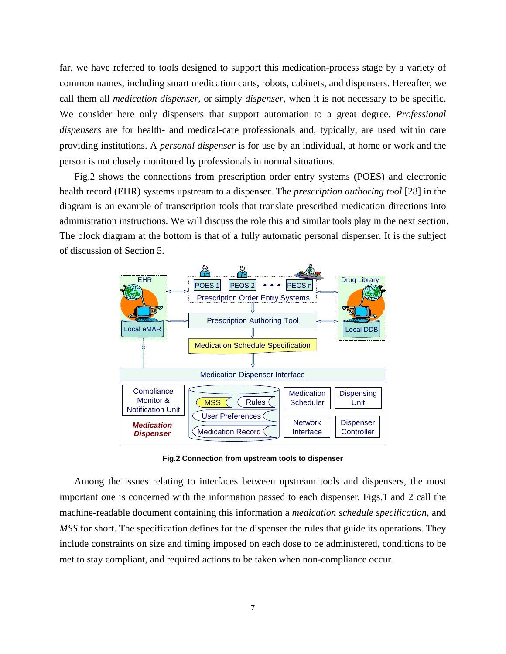far, we have referred to tools designed to support this medication-process stage by a variety of common names, including smart medication carts, robots, cabinets, and dispensers. Hereafter, we call them all *medication dispenser*, or simply *dispenser,* when it is not necessary to be specific. We consider here only dispensers that support automation to a great degree. *Professional dispensers* are for health- and medical-care professionals and, typically, are used within care providing institutions. A *personal dispenser* is for use by an individual, at home or work and the person is not closely monitored by professionals in normal situations.

Fig.2 shows the connections from prescription order entry systems (POES) and electronic health record (EHR) systems upstream to a dispenser. The *prescription authoring tool* [28] in the diagram is an example of transcription tools that translate prescribed medication directions into administration instructions. We will discuss the role this and similar tools play in the next section. The block diagram at the bottom is that of a fully automatic personal dispenser. It is the subject of discussion of Section 5.



**Fig.2 Connection from upstream tools to dispenser** 

Among the issues relating to interfaces between upstream tools and dispensers, the most important one is concerned with the information passed to each dispenser. Figs.1 and 2 call the machine-readable document containing this information a *medication schedule specification*, and *MSS* for short. The specification defines for the dispenser the rules that guide its operations. They include constraints on size and timing imposed on each dose to be administered, conditions to be met to stay compliant, and required actions to be taken when non-compliance occur.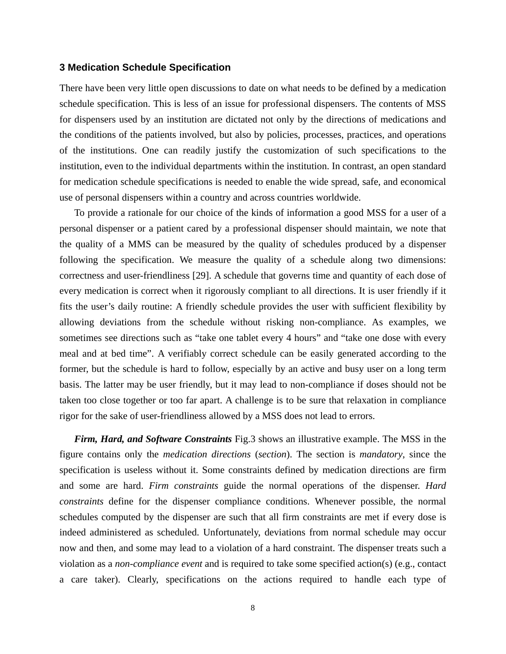### **3 Medication Schedule Specification**

There have been very little open discussions to date on what needs to be defined by a medication schedule specification. This is less of an issue for professional dispensers. The contents of MSS for dispensers used by an institution are dictated not only by the directions of medications and the conditions of the patients involved, but also by policies, processes, practices, and operations of the institutions. One can readily justify the customization of such specifications to the institution, even to the individual departments within the institution. In contrast, an open standard for medication schedule specifications is needed to enable the wide spread, safe, and economical use of personal dispensers within a country and across countries worldwide.

To provide a rationale for our choice of the kinds of information a good MSS for a user of a personal dispenser or a patient cared by a professional dispenser should maintain, we note that the quality of a MMS can be measured by the quality of schedules produced by a dispenser following the specification. We measure the quality of a schedule along two dimensions: correctness and user-friendliness [29]. A schedule that governs time and quantity of each dose of every medication is correct when it rigorously compliant to all directions. It is user friendly if it fits the user's daily routine: A friendly schedule provides the user with sufficient flexibility by allowing deviations from the schedule without risking non-compliance. As examples, we sometimes see directions such as "take one tablet every 4 hours" and "take one dose with every meal and at bed time". A verifiably correct schedule can be easily generated according to the former, but the schedule is hard to follow, especially by an active and busy user on a long term basis. The latter may be user friendly, but it may lead to non-compliance if doses should not be taken too close together or too far apart. A challenge is to be sure that relaxation in compliance rigor for the sake of user-friendliness allowed by a MSS does not lead to errors.

*Firm, Hard, and Software Constraints* Fig.3 shows an illustrative example. The MSS in the figure contains only the *medication directions* (*section*). The section is *mandatory*, since the specification is useless without it. Some constraints defined by medication directions are firm and some are hard. *Firm constraints* guide the normal operations of the dispenser. *Hard constraints* define for the dispenser compliance conditions. Whenever possible, the normal schedules computed by the dispenser are such that all firm constraints are met if every dose is indeed administered as scheduled. Unfortunately, deviations from normal schedule may occur now and then, and some may lead to a violation of a hard constraint. The dispenser treats such a violation as a *non-compliance event* and is required to take some specified action(s) (e.g., contact a care taker). Clearly, specifications on the actions required to handle each type of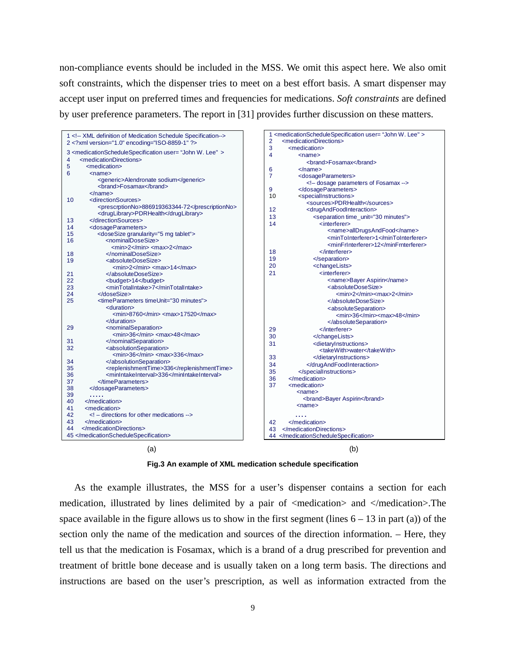non-compliance events should be included in the MSS. We omit this aspect here. We also omit soft constraints, which the dispenser tries to meet on a best effort basis. A smart dispenser may accept user input on preferred times and frequencies for medications. *Soft constraints* are defined by user preference parameters. The report in [31] provides further discussion on these matters.



**Fig.3 An example of XML medication schedule specification** 

As the example illustrates, the MSS for a user's dispenser contains a section for each medication, illustrated by lines delimited by a pair of <medication> and </medication>.The space available in the figure allows us to show in the first segment (lines  $6 - 13$  in part (a)) of the section only the name of the medication and sources of the direction information. – Here, they tell us that the medication is Fosamax, which is a brand of a drug prescribed for prevention and treatment of brittle bone decease and is usually taken on a long term basis. The directions and instructions are based on the user's prescription, as well as information extracted from the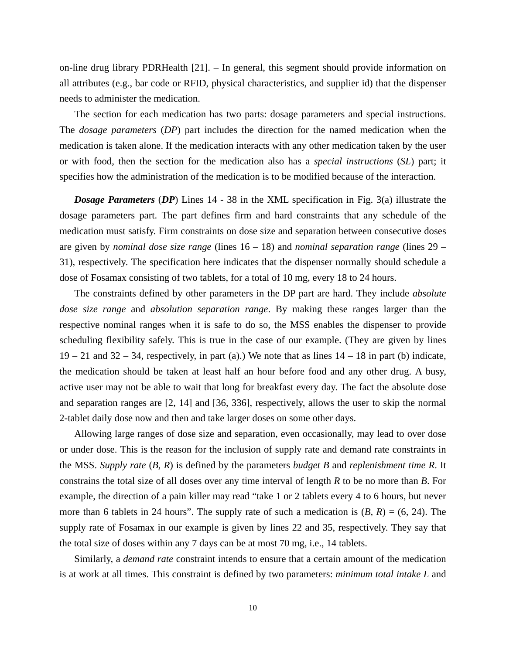on-line drug library PDRHealth [21]. – In general, this segment should provide information on all attributes (e.g., bar code or RFID, physical characteristics, and supplier id) that the dispenser needs to administer the medication.

The section for each medication has two parts: dosage parameters and special instructions. The *dosage parameters* (*DP*) part includes the direction for the named medication when the medication is taken alone. If the medication interacts with any other medication taken by the user or with food, then the section for the medication also has a *special instructions* (*SL*) part; it specifies how the administration of the medication is to be modified because of the interaction.

*Dosage Parameters (DP)* Lines 14 - 38 in the XML specification in Fig. 3(a) illustrate the dosage parameters part. The part defines firm and hard constraints that any schedule of the medication must satisfy. Firm constraints on dose size and separation between consecutive doses are given by *nominal dose size range* (lines 16 – 18) and *nominal separation range* (lines 29 – 31), respectively. The specification here indicates that the dispenser normally should schedule a dose of Fosamax consisting of two tablets, for a total of 10 mg, every 18 to 24 hours.

The constraints defined by other parameters in the DP part are hard. They include *absolute dose size range* and *absolution separation range*. By making these ranges larger than the respective nominal ranges when it is safe to do so, the MSS enables the dispenser to provide scheduling flexibility safely. This is true in the case of our example. (They are given by lines  $19 - 21$  and  $32 - 34$ , respectively, in part (a).) We note that as lines  $14 - 18$  in part (b) indicate, the medication should be taken at least half an hour before food and any other drug. A busy, active user may not be able to wait that long for breakfast every day. The fact the absolute dose and separation ranges are [2, 14] and [36, 336], respectively, allows the user to skip the normal 2-tablet daily dose now and then and take larger doses on some other days.

Allowing large ranges of dose size and separation, even occasionally, may lead to over dose or under dose. This is the reason for the inclusion of supply rate and demand rate constraints in the MSS. *Supply rate* (*B, R*) is defined by the parameters *budget B* and *replenishment time R*. It constrains the total size of all doses over any time interval of length *R* to be no more than *B*. For example, the direction of a pain killer may read "take 1 or 2 tablets every 4 to 6 hours, but never more than 6 tablets in 24 hours". The supply rate of such a medication is  $(B, R) = (6, 24)$ . The supply rate of Fosamax in our example is given by lines 22 and 35, respectively. They say that the total size of doses within any 7 days can be at most 70 mg, i.e., 14 tablets.

Similarly, a *demand rate* constraint intends to ensure that a certain amount of the medication is at work at all times. This constraint is defined by two parameters: *minimum total intake L* and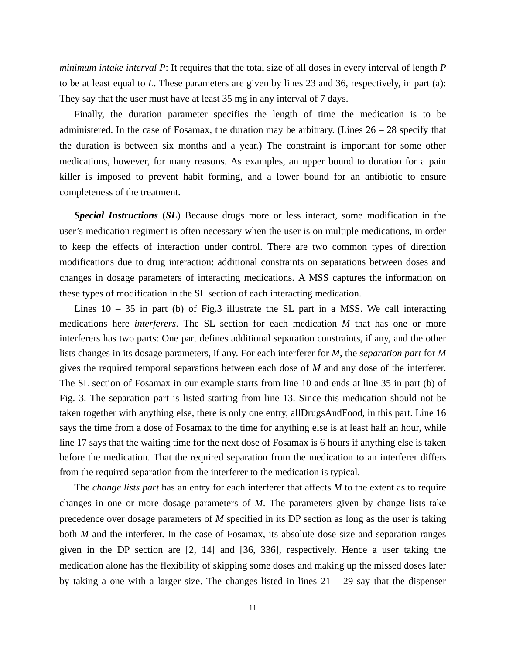*minimum intake interval P*: It requires that the total size of all doses in every interval of length *P* to be at least equal to *L*. These parameters are given by lines 23 and 36, respectively, in part (a): They say that the user must have at least 35 mg in any interval of 7 days.

Finally, the duration parameter specifies the length of time the medication is to be administered. In the case of Fosamax, the duration may be arbitrary. (Lines  $26 - 28$  specify that the duration is between six months and a year.) The constraint is important for some other medications, however, for many reasons. As examples, an upper bound to duration for a pain killer is imposed to prevent habit forming, and a lower bound for an antibiotic to ensure completeness of the treatment.

*Special Instructions* (*SL*) Because drugs more or less interact, some modification in the user's medication regiment is often necessary when the user is on multiple medications, in order to keep the effects of interaction under control. There are two common types of direction modifications due to drug interaction: additional constraints on separations between doses and changes in dosage parameters of interacting medications. A MSS captures the information on these types of modification in the SL section of each interacting medication.

Lines  $10 - 35$  in part (b) of Fig.3 illustrate the SL part in a MSS. We call interacting medications here *interferers*. The SL section for each medication *M* that has one or more interferers has two parts: One part defines additional separation constraints, if any, and the other lists changes in its dosage parameters, if any. For each interferer for *M*, the *separation part* for *M*  gives the required temporal separations between each dose of *M* and any dose of the interferer. The SL section of Fosamax in our example starts from line 10 and ends at line 35 in part (b) of Fig. 3. The separation part is listed starting from line 13. Since this medication should not be taken together with anything else, there is only one entry, allDrugsAndFood, in this part. Line 16 says the time from a dose of Fosamax to the time for anything else is at least half an hour, while line 17 says that the waiting time for the next dose of Fosamax is 6 hours if anything else is taken before the medication. That the required separation from the medication to an interferer differs from the required separation from the interferer to the medication is typical.

The *change lists part* has an entry for each interferer that affects *M* to the extent as to require changes in one or more dosage parameters of *M*. The parameters given by change lists take precedence over dosage parameters of *M* specified in its DP section as long as the user is taking both *M* and the interferer. In the case of Fosamax, its absolute dose size and separation ranges given in the DP section are [2, 14] and [36, 336], respectively. Hence a user taking the medication alone has the flexibility of skipping some doses and making up the missed doses later by taking a one with a larger size. The changes listed in lines  $21 - 29$  say that the dispenser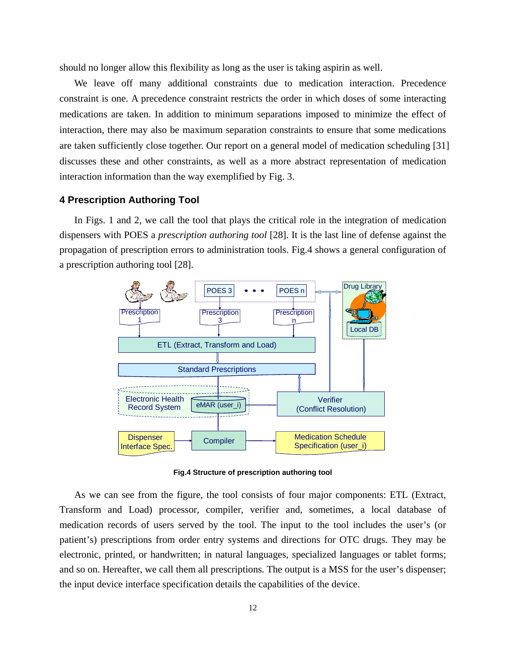should no longer allow this flexibility as long as the user is taking aspirin as well.

We leave off many additional constraints due to medication interaction. Precedence constraint is one. A precedence constraint restricts the order in which doses of some interacting medications are taken. In addition to minimum separations imposed to minimize the effect of interaction, there may also be maximum separation constraints to ensure that some medications are taken sufficiently close together. Our report on a general model of medication scheduling [31] discusses these and other constraints, as well as a more abstract representation of medication interaction information than the way exemplified by Fig. 3.

## **4 Prescription Authoring Tool**

In Figs. 1 and 2, we call the tool that plays the critical role in the integration of medication dispensers with POES a *prescription authoring tool* [28]. It is the last line of defense against the propagation of prescription errors to administration tools. Fig.4 shows a general configuration of a prescription authoring tool [28].



**Fig.4 Structure of prescription authoring tool** 

As we can see from the figure, the tool consists of four major components: ETL (Extract, Transform and Load) processor, compiler, verifier and, sometimes, a local database of medication records of users served by the tool. The input to the tool includes the user's (or patient's) prescriptions from order entry systems and directions for OTC drugs. They may be electronic, printed, or handwritten; in natural languages, specialized languages or tablet forms; and so on. Hereafter, we call them all prescriptions. The output is a MSS for the user's dispenser; the input device interface specification details the capabilities of the device.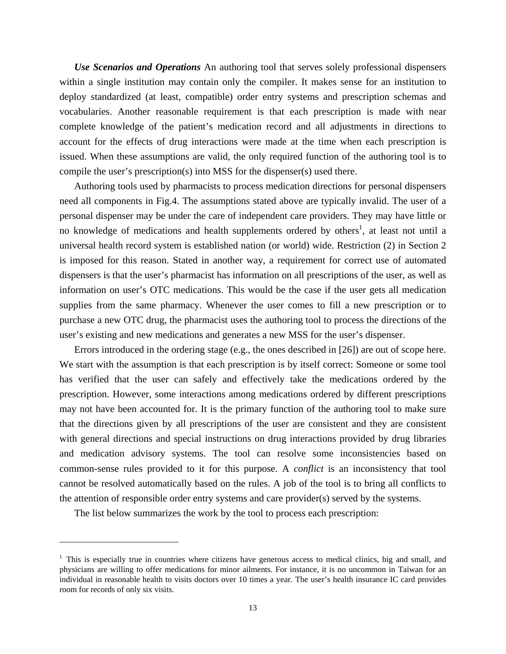*Use Scenarios and Operations* An authoring tool that serves solely professional dispensers within a single institution may contain only the compiler. It makes sense for an institution to deploy standardized (at least, compatible) order entry systems and prescription schemas and vocabularies. Another reasonable requirement is that each prescription is made with near complete knowledge of the patient's medication record and all adjustments in directions to account for the effects of drug interactions were made at the time when each prescription is issued. When these assumptions are valid, the only required function of the authoring tool is to compile the user's prescription(s) into MSS for the dispenser(s) used there.

Authoring tools used by pharmacists to process medication directions for personal dispensers need all components in Fig.4. The assumptions stated above are typically invalid. The user of a personal dispenser may be under the care of independent care providers. They may have little or no knowledge of medications and health supplements ordered by others<sup>1</sup>, at least not until a universal health record system is established nation (or world) wide. Restriction (2) in Section 2 is imposed for this reason. Stated in another way, a requirement for correct use of automated dispensers is that the user's pharmacist has information on all prescriptions of the user, as well as information on user's OTC medications. This would be the case if the user gets all medication supplies from the same pharmacy. Whenever the user comes to fill a new prescription or to purchase a new OTC drug, the pharmacist uses the authoring tool to process the directions of the user's existing and new medications and generates a new MSS for the user's dispenser.

Errors introduced in the ordering stage (e.g., the ones described in [26]) are out of scope here. We start with the assumption is that each prescription is by itself correct: Someone or some tool has verified that the user can safely and effectively take the medications ordered by the prescription. However, some interactions among medications ordered by different prescriptions may not have been accounted for. It is the primary function of the authoring tool to make sure that the directions given by all prescriptions of the user are consistent and they are consistent with general directions and special instructions on drug interactions provided by drug libraries and medication advisory systems. The tool can resolve some inconsistencies based on common-sense rules provided to it for this purpose. A *conflict* is an inconsistency that tool cannot be resolved automatically based on the rules. A job of the tool is to bring all conflicts to the attention of responsible order entry systems and care provider(s) served by the systems.

The list below summarizes the work by the tool to process each prescription:

 $\overline{a}$ 

 $<sup>1</sup>$  This is especially true in countries where citizens have generous access to medical clinics, big and small, and</sup> physicians are willing to offer medications for minor ailments. For instance, it is no uncommon in Taiwan for an individual in reasonable health to visits doctors over 10 times a year. The user's health insurance IC card provides room for records of only six visits.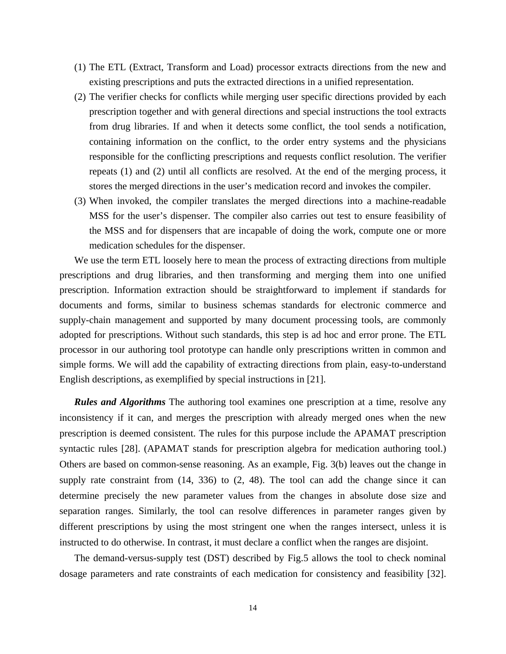- (1) The ETL (Extract, Transform and Load) processor extracts directions from the new and existing prescriptions and puts the extracted directions in a unified representation.
- (2) The verifier checks for conflicts while merging user specific directions provided by each prescription together and with general directions and special instructions the tool extracts from drug libraries. If and when it detects some conflict, the tool sends a notification, containing information on the conflict, to the order entry systems and the physicians responsible for the conflicting prescriptions and requests conflict resolution. The verifier repeats (1) and (2) until all conflicts are resolved. At the end of the merging process, it stores the merged directions in the user's medication record and invokes the compiler.
- (3) When invoked, the compiler translates the merged directions into a machine-readable MSS for the user's dispenser. The compiler also carries out test to ensure feasibility of the MSS and for dispensers that are incapable of doing the work, compute one or more medication schedules for the dispenser.

We use the term ETL loosely here to mean the process of extracting directions from multiple prescriptions and drug libraries, and then transforming and merging them into one unified prescription. Information extraction should be straightforward to implement if standards for documents and forms, similar to business schemas standards for electronic commerce and supply-chain management and supported by many document processing tools, are commonly adopted for prescriptions. Without such standards, this step is ad hoc and error prone. The ETL processor in our authoring tool prototype can handle only prescriptions written in common and simple forms. We will add the capability of extracting directions from plain, easy-to-understand English descriptions, as exemplified by special instructions in [21].

*Rules and Algorithms* The authoring tool examines one prescription at a time, resolve any inconsistency if it can, and merges the prescription with already merged ones when the new prescription is deemed consistent. The rules for this purpose include the APAMAT prescription syntactic rules [28]. (APAMAT stands for prescription algebra for medication authoring tool.) Others are based on common-sense reasoning. As an example, Fig. 3(b) leaves out the change in supply rate constraint from  $(14, 336)$  to  $(2, 48)$ . The tool can add the change since it can determine precisely the new parameter values from the changes in absolute dose size and separation ranges. Similarly, the tool can resolve differences in parameter ranges given by different prescriptions by using the most stringent one when the ranges intersect, unless it is instructed to do otherwise. In contrast, it must declare a conflict when the ranges are disjoint.

The demand-versus-supply test (DST) described by Fig.5 allows the tool to check nominal dosage parameters and rate constraints of each medication for consistency and feasibility [32].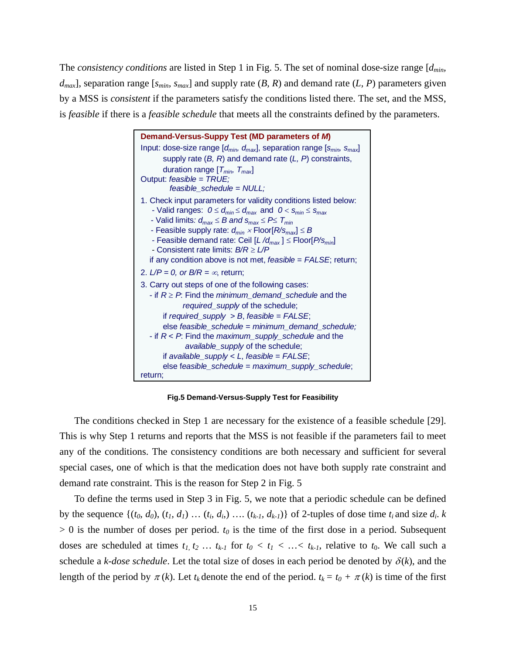The *consistency conditions* are listed in Step 1 in Fig. 5. The set of nominal dose-size range [*dmin,*   $d_{max}$ ], separation range [ $s_{min}$ ,  $s_{max}$ ] and supply rate (*B, R*) and demand rate (*L, P*) parameters given by a MSS is *consistent* if the parameters satisfy the conditions listed there. The set, and the MSS, is *feasible* if there is a *feasible schedule* that meets all the constraints defined by the parameters.



**Fig.5 Demand-Versus-Supply Test for Feasibility** 

The conditions checked in Step 1 are necessary for the existence of a feasible schedule [29]. This is why Step 1 returns and reports that the MSS is not feasible if the parameters fail to meet any of the conditions. The consistency conditions are both necessary and sufficient for several special cases, one of which is that the medication does not have both supply rate constraint and demand rate constraint. This is the reason for Step 2 in Fig. 5

To define the terms used in Step 3 in Fig. 5, we note that a periodic schedule can be defined by the sequence  $\{(t_0, d_0), (t_1, d_1), \ldots, (t_i, d_i), \ldots, (t_{k-1}, d_{k-1})\}$  of 2-tuples of dose time  $t_i$  and size  $d_i$ .  $k$  $> 0$  is the number of doses per period.  $t_0$  is the time of the first dose in a period. Subsequent doses are scheduled at times  $t_1, t_2, \ldots, t_{k-1}$  for  $t_0 < t_1 < \ldots < t_{k-1}$ , relative to  $t_0$ . We call such a schedule a *k*-*dose schedule*. Let the total size of doses in each period be denoted by  $\delta(k)$ , and the length of the period by  $\pi(k)$ . Let  $t_k$  denote the end of the period.  $t_k = t_0 + \pi(k)$  is time of the first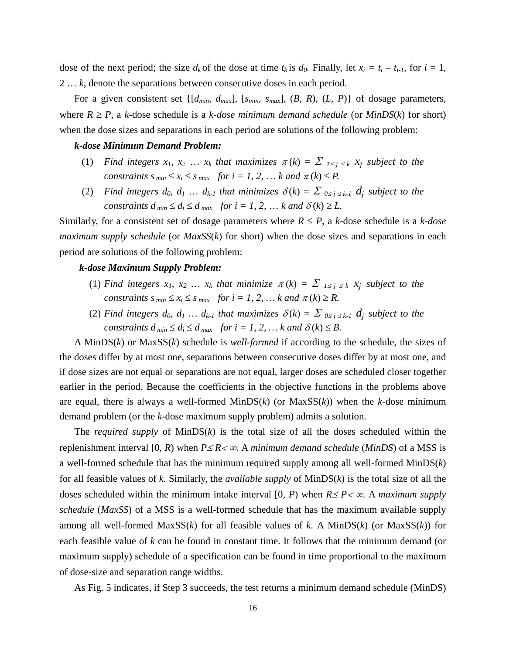dose of the next period; the size  $d_k$  of the dose at time  $t_k$  is  $d_0$ . Finally, let  $x_i = t_i - t_{i-1}$ , for  $i = 1$ , 2 … *k*, denote the separations between consecutive doses in each period.

For a given consistent set  $\{[d_{min}, d_{max}]$ ,  $[s_{min}, s_{max}]$ ,  $(B, R), (L, P)\}$  of dosage parameters, where  $R \ge P$ , a *k*-dose schedule is a *k-dose minimum demand schedule* (or *MinDS(k)* for short) when the dose sizes and separations in each period are solutions of the following problem:

#### *k-dose Minimum Demand Problem:*

- (1) *Find integers*  $x_1, x_2, \ldots, x_k$  that maximizes  $\pi(k) = \sum_{1 \leq j \leq k} x_j$  subject to the *constraints*  $s_{min} \le x_i \le s_{max}$  *for i = 1, 2, ... k and*  $\pi(k) \le P$ .
- (2) *Find integers d<sub>0</sub>, d<sub>1</sub> ... d<sub>k-1</sub> that minimizes*  $\delta(k) = \sum_{0 \le j \le k-1} d_j$  *subject to the constraints*  $d_{min} \leq d_i \leq d_{max}$  *for*  $i = 1, 2, \ldots k$  *and*  $\delta(k) \geq L$ .

Similarly, for a consistent set of dosage parameters where  $R \leq P$ , a *k*-dose schedule is a *k-dose maximum supply schedule* (or *MaxSS*(*k*) for short) when the dose sizes and separations in each period are solutions of the following problem:

### *k-dose Maximum Supply Problem:*

- (1) *Find integers*  $x_1, x_2, \ldots, x_k$  *that minimize*  $\pi(k) = \sum_{1 \leq j \leq k} x_j$  *subject to the constraints*  $s_{min} \le x_i \le s_{max}$  *for i = 1, 2, ... k and*  $\pi(k) \ge R$ .
- (2) *Find integers d<sub>0</sub>, d<sub>1</sub> ... d<sub>k-1</sub> that maximizes*  $\delta(k) = \sum_{0 \leq j \leq k-1} d_j$  *subject to the constraints*  $d_{min} \leq d_i \leq d_{max}$  *for i = 1, 2, ... k and*  $\delta(k) \leq B$ .

A MinDS(*k*) or MaxSS(*k*) schedule is *well-formed* if according to the schedule, the sizes of the doses differ by at most one, separations between consecutive doses differ by at most one, and if dose sizes are not equal or separations are not equal, larger doses are scheduled closer together earlier in the period. Because the coefficients in the objective functions in the problems above are equal, there is always a well-formed MinDS(*k*) (or MaxSS(*k*)) when the *k*-dose minimum demand problem (or the *k*-dose maximum supply problem) admits a solution.

The *required supply* of MinDS(*k*) is the total size of all the doses scheduled within the replenishment interval [0, *R*) when  $P \leq R < \infty$ . A *minimum demand schedule* (*MinDS*) of a MSS is a well-formed schedule that has the minimum required supply among all well-formed MinDS(*k*) for all feasible values of *k*. Similarly, the *available supply* of MinDS(*k*) is the total size of all the doses scheduled within the minimum intake interval [0, *P*) when  $R \le P \lt \infty$ . A *maximum supply schedule* (*MaxSS*) of a MSS is a well-formed schedule that has the maximum available supply among all well-formed MaxSS(*k*) for all feasible values of *k*. A MinDS(*k*) (or MaxSS(*k*)) for each feasible value of *k* can be found in constant time. It follows that the minimum demand (or maximum supply) schedule of a specification can be found in time proportional to the maximum of dose-size and separation range widths.

As Fig. 5 indicates, if Step 3 succeeds, the test returns a minimum demand schedule (MinDS)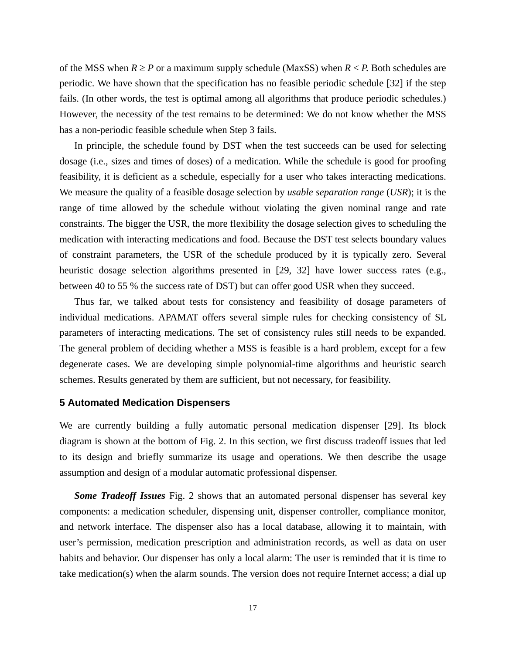of the MSS when  $R \ge P$  or a maximum supply schedule (MaxSS) when  $R < P$ . Both schedules are periodic. We have shown that the specification has no feasible periodic schedule [32] if the step fails. (In other words, the test is optimal among all algorithms that produce periodic schedules.) However, the necessity of the test remains to be determined: We do not know whether the MSS has a non-periodic feasible schedule when Step 3 fails.

In principle, the schedule found by DST when the test succeeds can be used for selecting dosage (i.e., sizes and times of doses) of a medication. While the schedule is good for proofing feasibility, it is deficient as a schedule, especially for a user who takes interacting medications. We measure the quality of a feasible dosage selection by *usable separation range* (*USR*); it is the range of time allowed by the schedule without violating the given nominal range and rate constraints. The bigger the USR, the more flexibility the dosage selection gives to scheduling the medication with interacting medications and food. Because the DST test selects boundary values of constraint parameters, the USR of the schedule produced by it is typically zero. Several heuristic dosage selection algorithms presented in [29, 32] have lower success rates (e.g., between 40 to 55 % the success rate of DST) but can offer good USR when they succeed.

Thus far, we talked about tests for consistency and feasibility of dosage parameters of individual medications. APAMAT offers several simple rules for checking consistency of SL parameters of interacting medications. The set of consistency rules still needs to be expanded. The general problem of deciding whether a MSS is feasible is a hard problem, except for a few degenerate cases. We are developing simple polynomial-time algorithms and heuristic search schemes. Results generated by them are sufficient, but not necessary, for feasibility.

#### **5 Automated Medication Dispensers**

We are currently building a fully automatic personal medication dispenser [29]. Its block diagram is shown at the bottom of Fig. 2. In this section, we first discuss tradeoff issues that led to its design and briefly summarize its usage and operations. We then describe the usage assumption and design of a modular automatic professional dispenser.

*Some Tradeoff Issues* Fig. 2 shows that an automated personal dispenser has several key components: a medication scheduler, dispensing unit, dispenser controller, compliance monitor, and network interface. The dispenser also has a local database, allowing it to maintain, with user's permission, medication prescription and administration records, as well as data on user habits and behavior. Our dispenser has only a local alarm: The user is reminded that it is time to take medication(s) when the alarm sounds. The version does not require Internet access; a dial up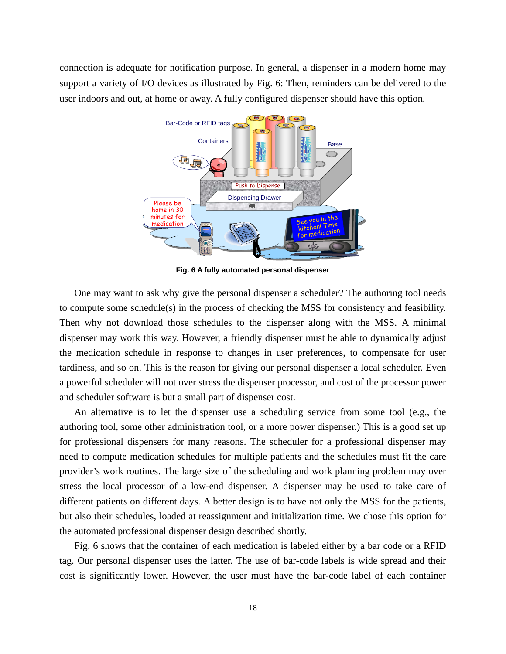connection is adequate for notification purpose. In general, a dispenser in a modern home may support a variety of I/O devices as illustrated by Fig. 6: Then, reminders can be delivered to the user indoors and out, at home or away. A fully configured dispenser should have this option.



**Fig. 6 A fully automated personal dispenser** 

 One may want to ask why give the personal dispenser a scheduler? The authoring tool needs to compute some schedule(s) in the process of checking the MSS for consistency and feasibility. Then why not download those schedules to the dispenser along with the MSS. A minimal dispenser may work this way. However, a friendly dispenser must be able to dynamically adjust the medication schedule in response to changes in user preferences, to compensate for user tardiness, and so on. This is the reason for giving our personal dispenser a local scheduler. Even a powerful scheduler will not over stress the dispenser processor, and cost of the processor power and scheduler software is but a small part of dispenser cost.

An alternative is to let the dispenser use a scheduling service from some tool (e.g., the authoring tool, some other administration tool, or a more power dispenser.) This is a good set up for professional dispensers for many reasons. The scheduler for a professional dispenser may need to compute medication schedules for multiple patients and the schedules must fit the care provider's work routines. The large size of the scheduling and work planning problem may over stress the local processor of a low-end dispenser. A dispenser may be used to take care of different patients on different days. A better design is to have not only the MSS for the patients, but also their schedules, loaded at reassignment and initialization time. We chose this option for the automated professional dispenser design described shortly.

Fig. 6 shows that the container of each medication is labeled either by a bar code or a RFID tag. Our personal dispenser uses the latter. The use of bar-code labels is wide spread and their cost is significantly lower. However, the user must have the bar-code label of each container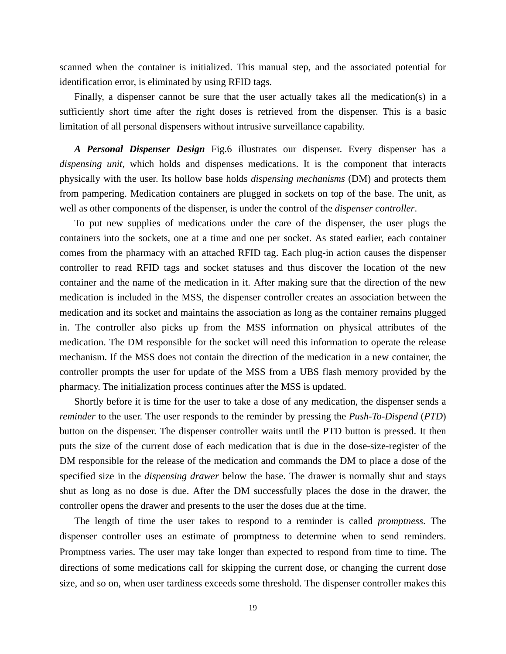scanned when the container is initialized. This manual step, and the associated potential for identification error, is eliminated by using RFID tags.

Finally, a dispenser cannot be sure that the user actually takes all the medication(s) in a sufficiently short time after the right doses is retrieved from the dispenser. This is a basic limitation of all personal dispensers without intrusive surveillance capability.

*A Personal Dispenser Design* Fig.6 illustrates our dispenser. Every dispenser has a *dispensing unit*, which holds and dispenses medications. It is the component that interacts physically with the user. Its hollow base holds *dispensing mechanisms* (DM) and protects them from pampering. Medication containers are plugged in sockets on top of the base. The unit, as well as other components of the dispenser, is under the control of the *dispenser controller*.

To put new supplies of medications under the care of the dispenser, the user plugs the containers into the sockets, one at a time and one per socket. As stated earlier, each container comes from the pharmacy with an attached RFID tag. Each plug-in action causes the dispenser controller to read RFID tags and socket statuses and thus discover the location of the new container and the name of the medication in it. After making sure that the direction of the new medication is included in the MSS, the dispenser controller creates an association between the medication and its socket and maintains the association as long as the container remains plugged in. The controller also picks up from the MSS information on physical attributes of the medication. The DM responsible for the socket will need this information to operate the release mechanism. If the MSS does not contain the direction of the medication in a new container, the controller prompts the user for update of the MSS from a UBS flash memory provided by the pharmacy. The initialization process continues after the MSS is updated.

Shortly before it is time for the user to take a dose of any medication, the dispenser sends a *reminder* to the user. The user responds to the reminder by pressing the *Push-To-Dispend* (*PTD*) button on the dispenser. The dispenser controller waits until the PTD button is pressed. It then puts the size of the current dose of each medication that is due in the dose-size-register of the DM responsible for the release of the medication and commands the DM to place a dose of the specified size in the *dispensing drawer* below the base. The drawer is normally shut and stays shut as long as no dose is due. After the DM successfully places the dose in the drawer, the controller opens the drawer and presents to the user the doses due at the time.

The length of time the user takes to respond to a reminder is called *promptness*. The dispenser controller uses an estimate of promptness to determine when to send reminders. Promptness varies. The user may take longer than expected to respond from time to time. The directions of some medications call for skipping the current dose, or changing the current dose size, and so on, when user tardiness exceeds some threshold. The dispenser controller makes this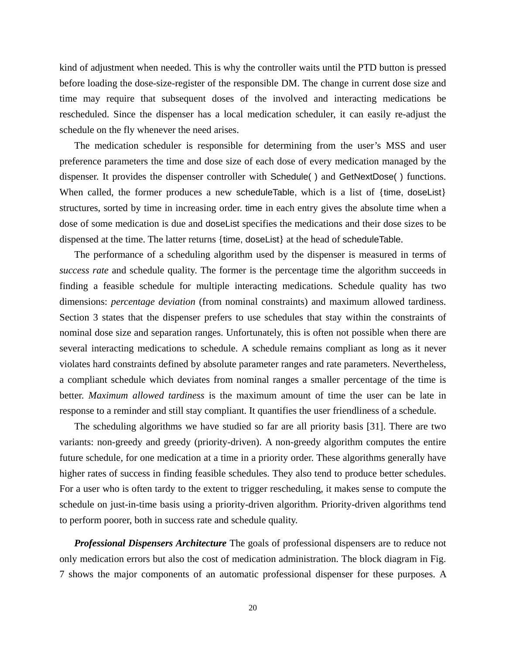kind of adjustment when needed. This is why the controller waits until the PTD button is pressed before loading the dose-size-register of the responsible DM. The change in current dose size and time may require that subsequent doses of the involved and interacting medications be rescheduled. Since the dispenser has a local medication scheduler, it can easily re-adjust the schedule on the fly whenever the need arises.

The medication scheduler is responsible for determining from the user's MSS and user preference parameters the time and dose size of each dose of every medication managed by the dispenser. It provides the dispenser controller with Schedule( ) and GetNextDose( ) functions. When called, the former produces a new scheduleTable, which is a list of {time, doseList} structures, sorted by time in increasing order. time in each entry gives the absolute time when a dose of some medication is due and doseList specifies the medications and their dose sizes to be dispensed at the time. The latter returns {time, doseList} at the head of scheduleTable.

The performance of a scheduling algorithm used by the dispenser is measured in terms of *success rate* and schedule quality. The former is the percentage time the algorithm succeeds in finding a feasible schedule for multiple interacting medications. Schedule quality has two dimensions: *percentage deviation* (from nominal constraints) and maximum allowed tardiness. Section 3 states that the dispenser prefers to use schedules that stay within the constraints of nominal dose size and separation ranges. Unfortunately, this is often not possible when there are several interacting medications to schedule. A schedule remains compliant as long as it never violates hard constraints defined by absolute parameter ranges and rate parameters. Nevertheless, a compliant schedule which deviates from nominal ranges a smaller percentage of the time is better. *Maximum allowed tardiness* is the maximum amount of time the user can be late in response to a reminder and still stay compliant. It quantifies the user friendliness of a schedule.

The scheduling algorithms we have studied so far are all priority basis [31]. There are two variants: non-greedy and greedy (priority-driven). A non-greedy algorithm computes the entire future schedule, for one medication at a time in a priority order. These algorithms generally have higher rates of success in finding feasible schedules. They also tend to produce better schedules. For a user who is often tardy to the extent to trigger rescheduling, it makes sense to compute the schedule on just-in-time basis using a priority-driven algorithm. Priority-driven algorithms tend to perform poorer, both in success rate and schedule quality.

*Professional Dispensers Architecture* The goals of professional dispensers are to reduce not only medication errors but also the cost of medication administration. The block diagram in Fig. 7 shows the major components of an automatic professional dispenser for these purposes. A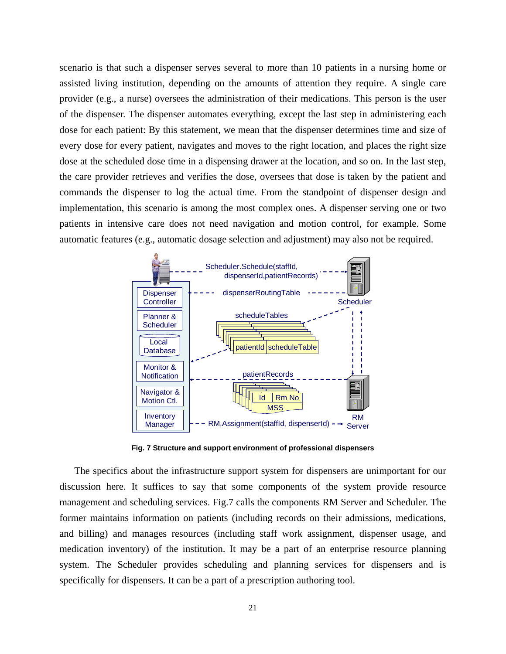scenario is that such a dispenser serves several to more than 10 patients in a nursing home or assisted living institution, depending on the amounts of attention they require. A single care provider (e.g., a nurse) oversees the administration of their medications. This person is the user of the dispenser. The dispenser automates everything, except the last step in administering each dose for each patient: By this statement, we mean that the dispenser determines time and size of every dose for every patient, navigates and moves to the right location, and places the right size dose at the scheduled dose time in a dispensing drawer at the location, and so on. In the last step, the care provider retrieves and verifies the dose, oversees that dose is taken by the patient and commands the dispenser to log the actual time. From the standpoint of dispenser design and implementation, this scenario is among the most complex ones. A dispenser serving one or two patients in intensive care does not need navigation and motion control, for example. Some automatic features (e.g., automatic dosage selection and adjustment) may also not be required.



**Fig. 7 Structure and support environment of professional dispensers**

The specifics about the infrastructure support system for dispensers are unimportant for our discussion here. It suffices to say that some components of the system provide resource management and scheduling services. Fig.7 calls the components RM Server and Scheduler. The former maintains information on patients (including records on their admissions, medications, and billing) and manages resources (including staff work assignment, dispenser usage, and medication inventory) of the institution. It may be a part of an enterprise resource planning system. The Scheduler provides scheduling and planning services for dispensers and is specifically for dispensers. It can be a part of a prescription authoring tool.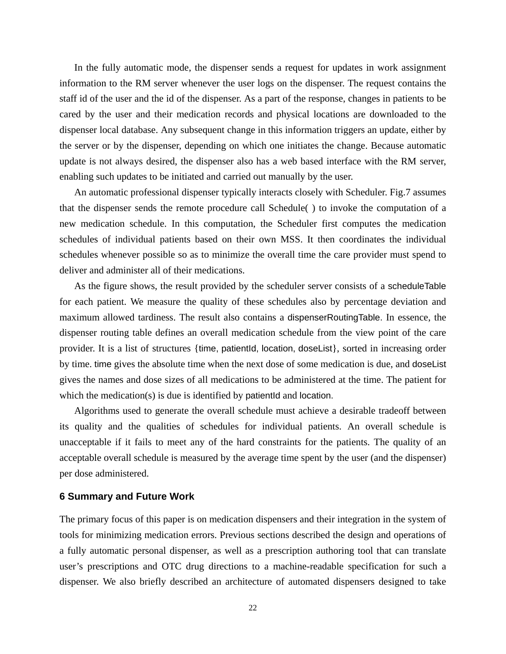In the fully automatic mode, the dispenser sends a request for updates in work assignment information to the RM server whenever the user logs on the dispenser. The request contains the staff id of the user and the id of the dispenser. As a part of the response, changes in patients to be cared by the user and their medication records and physical locations are downloaded to the dispenser local database. Any subsequent change in this information triggers an update, either by the server or by the dispenser, depending on which one initiates the change. Because automatic update is not always desired, the dispenser also has a web based interface with the RM server, enabling such updates to be initiated and carried out manually by the user.

An automatic professional dispenser typically interacts closely with Scheduler. Fig.7 assumes that the dispenser sends the remote procedure call Schedule( ) to invoke the computation of a new medication schedule. In this computation, the Scheduler first computes the medication schedules of individual patients based on their own MSS. It then coordinates the individual schedules whenever possible so as to minimize the overall time the care provider must spend to deliver and administer all of their medications.

As the figure shows, the result provided by the scheduler server consists of a scheduleTable for each patient. We measure the quality of these schedules also by percentage deviation and maximum allowed tardiness. The result also contains a dispenserRoutingTable. In essence, the dispenser routing table defines an overall medication schedule from the view point of the care provider. It is a list of structures {time, patientId, location, doseList}, sorted in increasing order by time. time gives the absolute time when the next dose of some medication is due, and doseList gives the names and dose sizes of all medications to be administered at the time. The patient for which the medication(s) is due is identified by patientiand and location.

Algorithms used to generate the overall schedule must achieve a desirable tradeoff between its quality and the qualities of schedules for individual patients. An overall schedule is unacceptable if it fails to meet any of the hard constraints for the patients. The quality of an acceptable overall schedule is measured by the average time spent by the user (and the dispenser) per dose administered.

## **6 Summary and Future Work**

The primary focus of this paper is on medication dispensers and their integration in the system of tools for minimizing medication errors. Previous sections described the design and operations of a fully automatic personal dispenser, as well as a prescription authoring tool that can translate user's prescriptions and OTC drug directions to a machine-readable specification for such a dispenser. We also briefly described an architecture of automated dispensers designed to take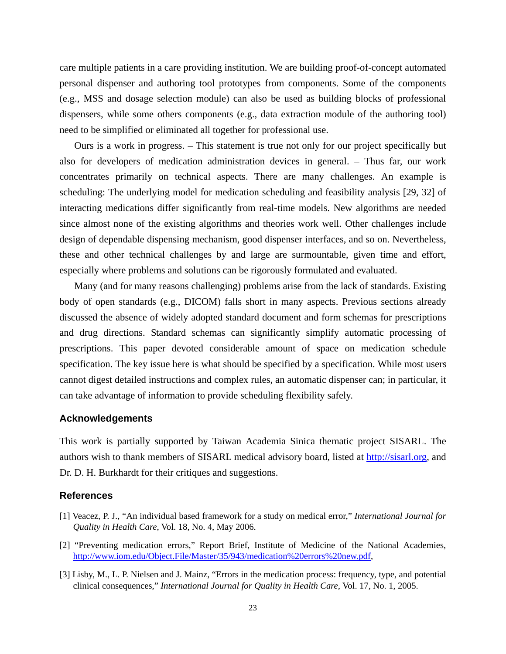care multiple patients in a care providing institution. We are building proof-of-concept automated personal dispenser and authoring tool prototypes from components. Some of the components (e.g., MSS and dosage selection module) can also be used as building blocks of professional dispensers, while some others components (e.g., data extraction module of the authoring tool) need to be simplified or eliminated all together for professional use.

 Ours is a work in progress. – This statement is true not only for our project specifically but also for developers of medication administration devices in general. – Thus far, our work concentrates primarily on technical aspects. There are many challenges. An example is scheduling: The underlying model for medication scheduling and feasibility analysis [29, 32] of interacting medications differ significantly from real-time models. New algorithms are needed since almost none of the existing algorithms and theories work well. Other challenges include design of dependable dispensing mechanism, good dispenser interfaces, and so on. Nevertheless, these and other technical challenges by and large are surmountable, given time and effort, especially where problems and solutions can be rigorously formulated and evaluated.

 Many (and for many reasons challenging) problems arise from the lack of standards. Existing body of open standards (e.g., DICOM) falls short in many aspects. Previous sections already discussed the absence of widely adopted standard document and form schemas for prescriptions and drug directions. Standard schemas can significantly simplify automatic processing of prescriptions. This paper devoted considerable amount of space on medication schedule specification. The key issue here is what should be specified by a specification. While most users cannot digest detailed instructions and complex rules, an automatic dispenser can; in particular, it can take advantage of information to provide scheduling flexibility safely.

#### **Acknowledgements**

This work is partially supported by Taiwan Academia Sinica thematic project SISARL. The authors wish to thank members of SISARL medical advisory board, listed at http://sisarl.org, and Dr. D. H. Burkhardt for their critiques and suggestions.

#### **References**

- [1] Veacez, P. J., "An individual based framework for a study on medical error," *International Journal for Quality in Health Care*, Vol. 18, No. 4, May 2006.
- [2] "Preventing medication errors," Report Brief, Institute of Medicine of the National Academies, http://www.iom.edu/Object.File/Master/35/943/medication%20errors%20new.pdf,
- [3] Lisby, M., L. P. Nielsen and J. Mainz, "Errors in the medication process: frequency, type, and potential clinical consequences," *International Journal for Quality in Health Care*, Vol. 17, No. 1, 2005.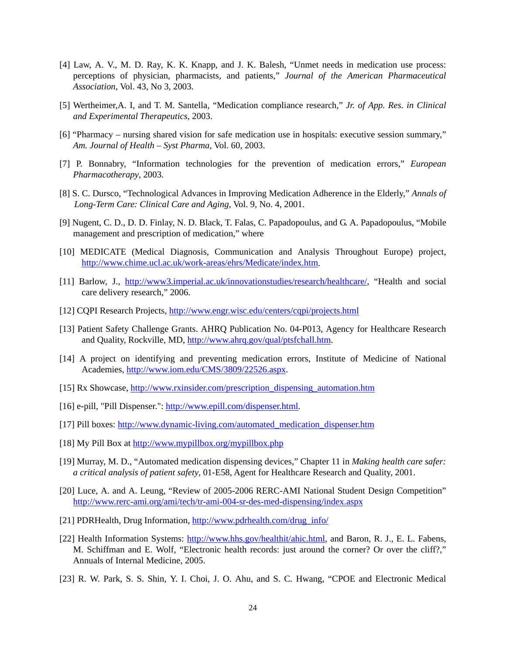- [4] Law, A. V., M. D. Ray, K. K. Knapp, and J. K. Balesh, "Unmet needs in medication use process: perceptions of physician, pharmacists, and patients," *Journal of the American Pharmaceutical Association,* Vol. 43, No 3, 2003.
- [5] Wertheimer,A. I, and T. M. Santella, "Medication compliance research," *Jr. of App. Res. in Clinical and Experimental Therapeutics*, 2003.
- [6] "Pharmacy nursing shared vision for safe medication use in hospitals: executive session summary," *Am. Journal of Health – Syst Pharma,* Vol. 60, 2003.
- [7] P. Bonnabry, "Information technologies for the prevention of medication errors," *European Pharmacotherapy*, 2003.
- [8] S. C. Dursco, "Technological Advances in Improving Medication Adherence in the Elderly," *Annals of Long-Term Care: Clinical Care and Aging*, Vol. 9, No. 4, 2001.
- [9] Nugent, C. D., D. D. Finlay, N. D. Black, T. Falas, C. Papadopoulus, and G. A. Papadopoulus, "Mobile management and prescription of medication," where
- [10] MEDICATE (Medical Diagnosis, Communication and Analysis Throughout Europe) project, http://www.chime.ucl.ac.uk/work-areas/ehrs/Medicate/index.htm.
- [11] Barlow, J., http://www3.imperial.ac.uk/innovationstudies/research/healthcare/, "Health and social care delivery research," 2006.
- [12] CQPI Research Projects, http://www.engr.wisc.edu/centers/cqpi/projects.html
- [13] Patient Safety Challenge Grants. AHRQ Publication No. 04-P013, Agency for Healthcare Research and Quality, Rockville, MD, http://www.ahrq.gov/qual/ptsfchall.htm.
- [14] A project on identifying and preventing medication errors, Institute of Medicine of National Academies, http://www.iom.edu/CMS/3809/22526.aspx.
- [15] Rx Showcase, http://www.rxinsider.com/prescription\_dispensing\_automation.htm
- [16] e-pill, "Pill Dispenser.": http://www.epill.com/dispenser.html.
- [17] Pill boxes: http://www.dynamic-living.com/automated\_medication\_dispenser.htm
- [18] My Pill Box at http://www.mypillbox.org/mypillbox.php
- [19] Murray, M. D., "Automated medication dispensing devices," Chapter 11 in *Making health care safer: a critical analysis of patient safety*, 01-E58, Agent for Healthcare Research and Quality, 2001.
- [20] Luce, A. and A. Leung, "Review of 2005-2006 RERC-AMI National Student Design Competition" http://www.rerc-ami.org/ami/tech/tr-ami-004-sr-des-med-dispensing/index.aspx
- [21] PDRHealth, Drug Information, http://www.pdrhealth.com/drug\_info/
- [22] Health Information Systems: http://www.hhs.gov/healthit/ahic.html, and Baron, R. J., E. L. Fabens, M. Schiffman and E. Wolf, "Electronic health records: just around the corner? Or over the cliff?," Annuals of Internal Medicine, 2005.
- [23] R. W. Park, S. S. Shin, Y. I. Choi, J. O. Ahu, and S. C. Hwang, "CPOE and Electronic Medical